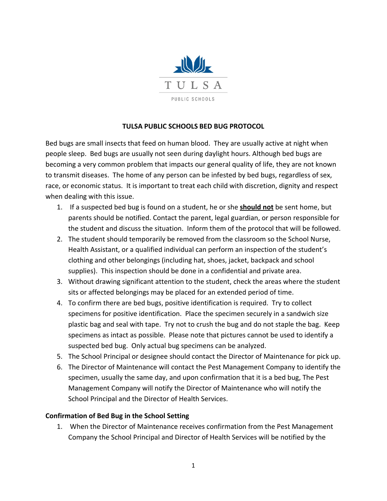

## **TULSA PUBLIC SCHOOLS BED BUG PROTOCOL**

Bed bugs are small insects that feed on human blood. They are usually active at night when people sleep. Bed bugs are usually not seen during daylight hours. Although bed bugs are becoming a very common problem that impacts our general quality of life, they are not known to transmit diseases. The home of any person can be infested by bed bugs, regardless of sex, race, or economic status. It is important to treat each child with discretion, dignity and respect when dealing with this issue.

- 1. If a suspected bed bug is found on a student, he or she **should not** be sent home, but parents should be notified. Contact the parent, legal guardian, or person responsible for the student and discuss the situation. Inform them of the protocol that will be followed.
- 2. The student should temporarily be removed from the classroom so the School Nurse, Health Assistant, or a qualified individual can perform an inspection of the student's clothing and other belongings (including hat, shoes, jacket, backpack and school supplies). This inspection should be done in a confidential and private area.
- 3. Without drawing significant attention to the student, check the areas where the student sits or affected belongings may be placed for an extended period of time.
- 4. To confirm there are bed bugs, positive identification is required. Try to collect specimens for positive identification. Place the specimen securely in a sandwich size plastic bag and seal with tape. Try not to crush the bug and do not staple the bag. Keep specimens as intact as possible. Please note that pictures cannot be used to identify a suspected bed bug. Only actual bug specimens can be analyzed.
- 5. The School Principal or designee should contact the Director of Maintenance for pick up.
- 6. The Director of Maintenance will contact the Pest Management Company to identify the specimen, usually the same day, and upon confirmation that it is a bed bug, The Pest Management Company will notify the Director of Maintenance who will notify the School Principal and the Director of Health Services.

## **Confirmation of Bed Bug in the School Setting**

1. When the Director of Maintenance receives confirmation from the Pest Management Company the School Principal and Director of Health Services will be notified by the